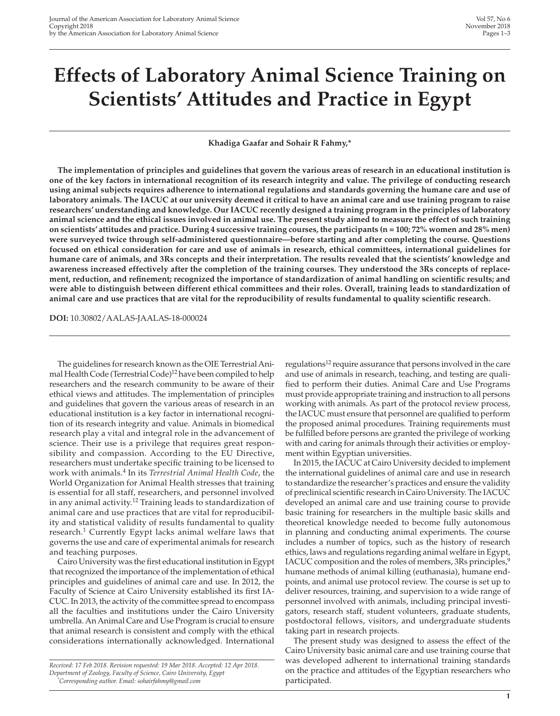# **Effects of Laboratory Animal Science Training on Scientists' Attitudes and Practice in Egypt**

**Khadiga Gaafar and Sohair R Fahmy,\***

**The implementation of principles and guidelines that govern the various areas of research in an educational institution is one of the key factors in international recognition of its research integrity and value. The privilege of conducting research using animal subjects requires adherence to international regulations and standards governing the humane care and use of laboratory animals. The IACUC at our university deemed it critical to have an animal care and use training program to raise researchers' understanding and knowledge. Our IACUC recently designed a training program in the principles of laboratory animal science and the ethical issues involved in animal use. The present study aimed to measure the effect of such training on scientists' attitudes and practice. During 4 successive training courses, the participants (n = 100; 72% women and 28% men) were surveyed twice through self-administered questionnaire—before starting and after completing the course. Questions focused on ethical consideration for care and use of animals in research, ethical committees, international guidelines for humane care of animals, and 3Rs concepts and their interpretation. The results revealed that the scientists' knowledge and awareness increased effectively after the completion of the training courses. They understood the 3Rs concepts of replacement, reduction, and refinement; recognized the importance of standardization of animal handling on scientific results; and were able to distinguish between different ethical committees and their roles. Overall, training leads to standardization of animal care and use practices that are vital for the reproducibility of results fundamental to quality scientific research.**

**DOI:** 10.30802/AALAS-JAALAS-18-000024

The guidelines for research known as the OIE Terrestrial Animal Health Code (Terrestrial Code)<sup>12</sup> have been compiled to help researchers and the research community to be aware of their ethical views and attitudes. The implementation of principles and guidelines that govern the various areas of research in an educational institution is a key factor in international recognition of its research integrity and value. Animals in biomedical research play a vital and integral role in the advancement of science. Their use is a privilege that requires great responsibility and compassion. According to the EU Directive, researchers must undertake specific training to be licensed to work with animals.4 In its *Terrestrial Animal Health Code*, the World Organization for Animal Health stresses that training is essential for all staff, researchers, and personnel involved in any animal activity.12 Training leads to standardization of animal care and use practices that are vital for reproducibility and statistical validity of results fundamental to quality research.<sup>1</sup> Currently Egypt lacks animal welfare laws that governs the use and care of experimental animals for research and teaching purposes.

Cairo University was the first educational institution in Egypt that recognized the importance of the implementation of ethical principles and guidelines of animal care and use. In 2012, the Faculty of Science at Cairo University established its first IA-CUC. In 2013, the activity of the committee spread to encompass all the faculties and institutions under the Cairo University umbrella. An Animal Care and Use Program is crucial to ensure that animal research is consistent and comply with the ethical considerations internationally acknowledged. International

*Received: 17 Feb 2018. Revision requested: 19 Mar 2018. Accepted: 12 Apr 2018. Department of Zoology, Faculty of Science, Cairo University, Egypt \* Corresponding author. Email: sohairfahmy@gmail.com*

regulations<sup>12</sup> require assurance that persons involved in the care and use of animals in research, teaching, and testing are qualified to perform their duties. Animal Care and Use Programs must provide appropriate training and instruction to all persons working with animals. As part of the protocol review process, the IACUC must ensure that personnel are qualified to perform the proposed animal procedures. Training requirements must be fulfilled before persons are granted the privilege of working with and caring for animals through their activities or employment within Egyptian universities.

In 2015, the IACUC at Cairo University decided to implement the international guidelines of animal care and use in research to standardize the researcher's practices and ensure the validity of preclinical scientific research in Cairo University. The IACUC developed an animal care and use training course to provide basic training for researchers in the multiple basic skills and theoretical knowledge needed to become fully autonomous in planning and conducting animal experiments. The course includes a number of topics, such as the history of research ethics, laws and regulations regarding animal welfare in Egypt, IACUC composition and the roles of members, 3Rs principles,<sup>9</sup> humane methods of animal killing (euthanasia), humane endpoints, and animal use protocol review. The course is set up to deliver resources, training, and supervision to a wide range of personnel involved with animals, including principal investigators, research staff, student volunteers, graduate students, postdoctoral fellows, visitors, and undergraduate students taking part in research projects.

The present study was designed to assess the effect of the Cairo University basic animal care and use training course that was developed adherent to international training standards on the practice and attitudes of the Egyptian researchers who participated.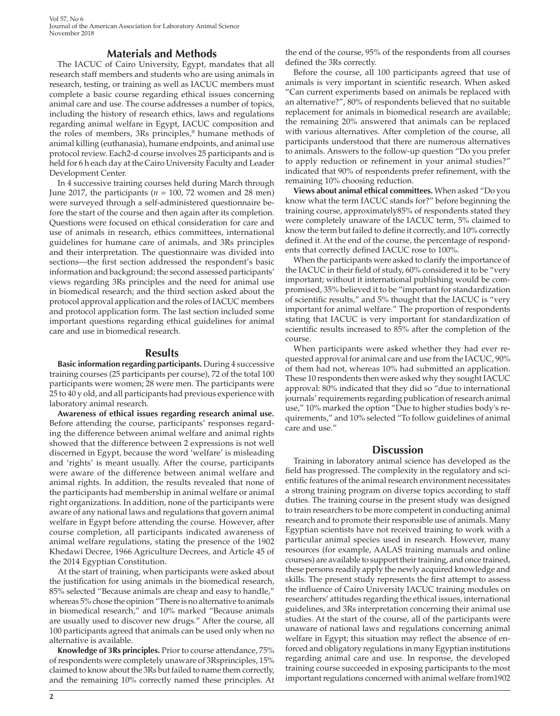Vol 57, No 6 Journal of the American Association for Laboratory Animal Science November 2018

## **Materials and Methods**

The IACUC of Cairo University, Egypt, mandates that all research staff members and students who are using animals in research, testing, or training as well as IACUC members must complete a basic course regarding ethical issues concerning animal care and use. The course addresses a number of topics, including the history of research ethics, laws and regulations regarding animal welfare in Egypt, IACUC composition and the roles of members, 3Rs principles,<sup>9</sup> humane methods of animal killing (euthanasia), humane endpoints, and animal use protocol review. Each2-d course involves 25 participants and is held for 6 h each day at the Cairo University Faculty and Leader Development Center.

In 4 successive training courses held during March through June 2017, the participants ( $n = 100$ , 72 women and 28 men) were surveyed through a self-administered questionnaire before the start of the course and then again after its completion. Questions were focused on ethical consideration for care and use of animals in research, ethics committees, international guidelines for humane care of animals, and 3Rs principles and their interpretation. The questionnaire was divided into sections—the first section addressed the respondent's basic information and background; the second assessed participants' views regarding 3Rs principles and the need for animal use in biomedical research; and the third section asked about the protocol approval application and the roles of IACUC members and protocol application form. The last section included some important questions regarding ethical guidelines for animal care and use in biomedical research.

#### **Results**

**Basic information regarding participants.** During 4 successive training courses (25 participants per course), 72 of the total 100 participants were women; 28 were men. The participants were 25 to 40 y old, and all participants had previous experience with laboratory animal research.

**Awareness of ethical issues regarding research animal use.** Before attending the course, participants' responses regarding the difference between animal welfare and animal rights showed that the difference between 2 expressions is not well discerned in Egypt, because the word 'welfare' is misleading and 'rights' is meant usually. After the course, participants were aware of the difference between animal welfare and animal rights. In addition, the results revealed that none of the participants had membership in animal welfare or animal right organizations. In addition, none of the participants were aware of any national laws and regulations that govern animal welfare in Egypt before attending the course. However, after course completion, all participants indicated awareness of animal welfare regulations, stating the presence of the 1902 Khedawi Decree, 1966 Agriculture Decrees, and Article 45 of the 2014 Egyptian Constitution.

At the start of training, when participants were asked about the justification for using animals in the biomedical research, 85% selected "Because animals are cheap and easy to handle," whereas 5% chose the opinion "There is no alternative to animals in biomedical research," and 10% marked "Because animals are usually used to discover new drugs." After the course, all 100 participants agreed that animals can be used only when no alternative is available.

**Knowledge of 3Rs principles.** Prior to course attendance, 75% of respondents were completely unaware of 3Rsprinciples, 15% claimed to know about the 3Rs but failed to name them correctly, and the remaining 10% correctly named these principles. At

the end of the course, 95% of the respondents from all courses defined the 3Rs correctly.

Before the course, all 100 participants agreed that use of animals is very important in scientific research. When asked "Can current experiments based on animals be replaced with an alternative?", 80% of respondents believed that no suitable replacement for animals in biomedical research are available; the remaining 20% answered that animals can be replaced with various alternatives. After completion of the course, all participants understood that there are numerous alternatives to animals. Answers to the follow-up question "Do you prefer to apply reduction or refinement in your animal studies?" indicated that 90% of respondents prefer refinement, with the remaining 10% choosing reduction.

**Views about animal ethical committees.** When asked "Do you know what the term IACUC stands for?" before beginning the training course, approximately85% of respondents stated they were completely unaware of the IACUC term, 5% claimed to know the term but failed to define it correctly, and 10% correctly defined it. At the end of the course, the percentage of respondents that correctly defined IACUC rose to 100%.

When the participants were asked to clarify the importance of the IACUC in their field of study, 60% considered it to be "very important; without it international publishing would be compromised, 35% believed it to be "important for standardization of scientific results," and 5% thought that the IACUC is "very important for animal welfare." The proportion of respondents stating that IACUC is very important for standardization of scientific results increased to 85% after the completion of the course.

When participants were asked whether they had ever requested approval for animal care and use from the IACUC, 90% of them had not, whereas 10% had submitted an application. These 10 respondents then were asked why they sought IACUC approval: 80% indicated that they did so "due to international journals' requirements regarding publication of research animal use," 10% marked the option "Due to higher studies body's requirements," and 10% selected "To follow guidelines of animal care and use."

#### **Discussion**

Training in laboratory animal science has developed as the field has progressed. The complexity in the regulatory and scientific features of the animal research environment necessitates a strong training program on diverse topics according to staff duties. The training course in the present study was designed to train researchers to be more competent in conducting animal research and to promote their responsible use of animals. Many Egyptian scientists have not received training to work with a particular animal species used in research. However, many resources (for example, AALAS training manuals and online courses) are available to support their training, and once trained, these persons readily apply the newly acquired knowledge and skills. The present study represents the first attempt to assess the influence of Cairo University IACUC training modules on researchers' attitudes regarding the ethical issues, international guidelines, and 3Rs interpretation concerning their animal use studies. At the start of the course, all of the participants were unaware of national laws and regulations concerning animal welfare in Egypt; this situation may reflect the absence of enforced and obligatory regulations in many Egyptian institutions regarding animal care and use. In response, the developed training course succeeded in exposing participants to the most important regulations concerned with animal welfare from1902